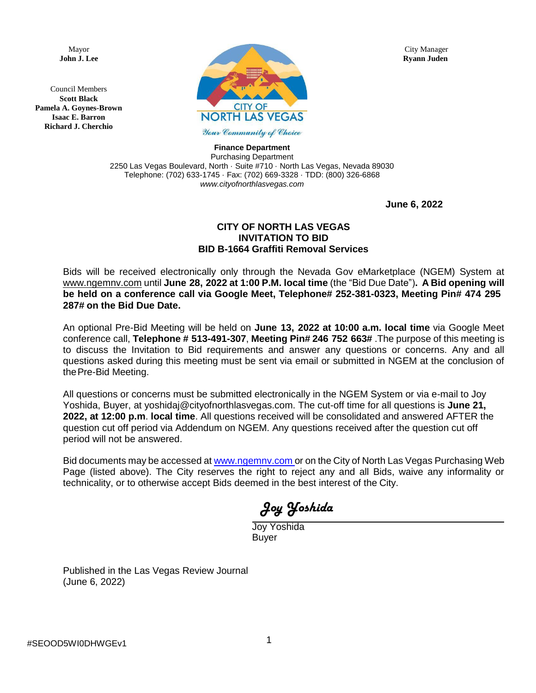Council Members **Scott Black Pamela A. Goynes-Brown Isaac E. Barron Richard J. Cherchio**



**Finance Department**

Purchasing Department 2250 Las Vegas Boulevard, North · Suite #710 · North Las Vegas, Nevada 89030 Telephone: (702) 633-1745 · Fax: (702) 669-3328 · TDD: (800) 326-6868 *[www.cityofnorthlasvegas.com](http://www.cityofnorthlasvegas.com/)*

**June 6, 2022**

# **CITY OF NORTH LAS VEGAS INVITATION TO BID BID B-1664 Graffiti Removal Services**

Bids will be received electronically only through the Nevada Gov eMarketplace (NGEM) System at [www.ngemnv.com](http://www.ngemnv.com/) until **June 28, 2022 at 1:00 P.M. local time** (the "Bid Due Date")**. A Bid opening will be held on a conference call via Google Meet, Telephone# 252-381-0323, Meeting Pin# 474 295 287# on the Bid Due Date.**

An optional Pre-Bid Meeting will be held on **June 13, 2022 at 10:00 a.m. local time** via Google Meet conference call, **Telephone # 513-491-307**, **Meeting Pin# 246 752 663#** .The purpose of this meeting is to discuss the Invitation to Bid requirements and answer any questions or concerns. Any and all questions asked during this meeting must be sent via email or submitted in NGEM at the conclusion of thePre-Bid Meeting.

All questions or concerns must be submitted electronically in the NGEM System or via e-mail to Joy Yoshida, Buyer, at yoshidaj@cityofnorthlasvegas.com. The cut-off time for all questions is **June 21, 2022, at 12:00 p.m**. **local time**. All questions received will be consolidated and answered AFTER the question cut off period via Addendum on NGEM. Any questions received after the question cut off period will not be answered.

Bid documents may be accessed at [www.ngemnv.com](http://www.ngemnv.com/) or on the City of North Las Vegas Purchasing Web Page (listed above). The City reserves the right to reject any and all Bids, waive any informality or technicality, or to otherwise accept Bids deemed in the best interest of the City.

Joy Yoshida

Joy Yoshida Buyer

Published in the Las Vegas Review Journal (June 6, 2022)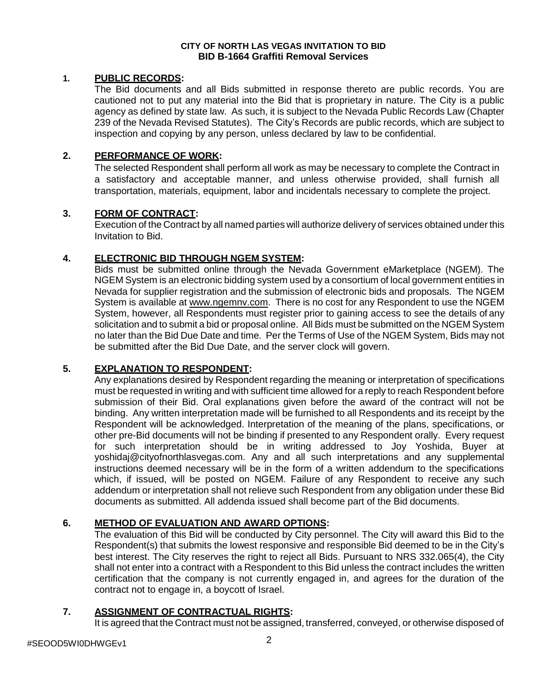#### **CITY OF NORTH LAS VEGAS INVITATION TO BID BID B-1664 Graffiti Removal Services**

#### **1. PUBLIC RECORDS:**

The Bid documents and all Bids submitted in response thereto are public records. You are cautioned not to put any material into the Bid that is proprietary in nature. The City is a public agency as defined by state law. As such, it is subject to the Nevada Public Records Law (Chapter 239 of the Nevada Revised Statutes). The City's Records are public records, which are subject to inspection and copying by any person, unless declared by law to be confidential.

# **2. PERFORMANCE OF WORK:**

The selected Respondent shall perform all work as may be necessary to complete the Contract in a satisfactory and acceptable manner, and unless otherwise provided, shall furnish all transportation, materials, equipment, labor and incidentals necessary to complete the project.

### **3. FORM OF CONTRACT:**

Execution of the Contract by all named parties will authorize delivery of services obtained under this Invitation to Bid.

### **4. ELECTRONIC BID THROUGH NGEM SYSTEM:**

Bids must be submitted online through the Nevada Government eMarketplace (NGEM). The NGEM System is an electronic bidding system used by a consortium of local government entities in Nevada for supplier registration and the submission of electronic bids and proposals. The NGEM System is available at [www.ngemnv.com.](http://www.ngemnv.com/) There is no cost for any Respondent to use the NGEM System, however, all Respondents must register prior to gaining access to see the details of any solicitation and to submit a bid or proposal online. All Bids must be submitted on the NGEM System no later than the Bid Due Date and time. Per the Terms of Use of the NGEM System, Bids may not be submitted after the Bid Due Date, and the server clock will govern.

### **5. EXPLANATION TO RESPONDENT:**

Any explanations desired by Respondent regarding the meaning or interpretation of specifications must be requested in writing and with sufficient time allowed for a reply to reach Respondent before submission of their Bid. Oral explanations given before the award of the contract will not be binding. Any written interpretation made will be furnished to all Respondents and its receipt by the Respondent will be acknowledged. Interpretation of the meaning of the plans, specifications, or other pre-Bid documents will not be binding if presented to any Respondent orally. Every request for such interpretation should be in writing addressed to Joy Yoshida, Buyer at [yoshidaj@cityofnorthlasvegas.com.](mailto:yoshidaj@cityofnorthlasvegas.com) Any and all such interpretations and any supplemental instructions deemed necessary will be in the form of a written addendum to the specifications which, if issued, will be posted on NGEM. Failure of any Respondent to receive any such addendum or interpretation shall not relieve such Respondent from any obligation under these Bid documents as submitted. All addenda issued shall become part of the Bid documents.

# **6. METHOD OF EVALUATION AND AWARD OPTIONS:**

The evaluation of this Bid will be conducted by City personnel. The City will award this Bid to the Respondent(s) that submits the lowest responsive and responsible Bid deemed to be in the City's best interest. The City reserves the right to reject all Bids. Pursuant to NRS 332.065(4), the City shall not enter into a contract with a Respondent to this Bid unless the contract includes the written certification that the company is not currently engaged in, and agrees for the duration of the contract not to engage in, a boycott of Israel.

# **7. ASSIGNMENT OF CONTRACTUAL RIGHTS:**

It is agreed that the Contract must not be assigned, transferred, conveyed, or otherwise disposed of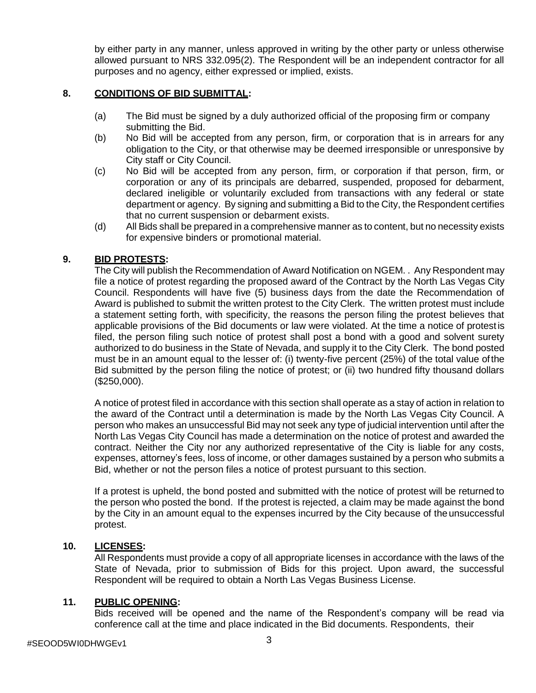by either party in any manner, unless approved in writing by the other party or unless otherwise allowed pursuant to NRS 332.095(2). The Respondent will be an independent contractor for all purposes and no agency, either expressed or implied, exists.

# **8. CONDITIONS OF BID SUBMITTAL:**

- (a) The Bid must be signed by a duly authorized official of the proposing firm or company submitting the Bid.
- (b) No Bid will be accepted from any person, firm, or corporation that is in arrears for any obligation to the City, or that otherwise may be deemed irresponsible or unresponsive by City staff or City Council.
- (c) No Bid will be accepted from any person, firm, or corporation if that person, firm, or corporation or any of its principals are debarred, suspended, proposed for debarment, declared ineligible or voluntarily excluded from transactions with any federal or state department or agency. By signing and submitting a Bid to the City, the Respondent certifies that no current suspension or debarment exists.
- (d) All Bids shall be prepared in a comprehensive manner as to content, but no necessity exists for expensive binders or promotional material.

### **9. BID PROTESTS:**

The City will publish the Recommendation of Award Notification on NGEM. . Any Respondent may file a notice of protest regarding the proposed award of the Contract by the North Las Vegas City Council. Respondents will have five (5) business days from the date the Recommendation of Award is published to submit the written protest to the City Clerk. The written protest must include a statement setting forth, with specificity, the reasons the person filing the protest believes that applicable provisions of the Bid documents or law were violated. At the time a notice of protest is filed, the person filing such notice of protest shall post a bond with a good and solvent surety authorized to do business in the State of Nevada, and supply it to the City Clerk. The bond posted must be in an amount equal to the lesser of: (i) twenty-five percent (25%) of the total value ofthe Bid submitted by the person filing the notice of protest; or (ii) two hundred fifty thousand dollars (\$250,000).

A notice of protest filed in accordance with this section shall operate as a stay of action in relation to the award of the Contract until a determination is made by the North Las Vegas City Council. A person who makes an unsuccessful Bid may not seek any type of judicial intervention until after the North Las Vegas City Council has made a determination on the notice of protest and awarded the contract. Neither the City nor any authorized representative of the City is liable for any costs, expenses, attorney's fees, loss of income, or other damages sustained by a person who submits a Bid, whether or not the person files a notice of protest pursuant to this section.

If a protest is upheld, the bond posted and submitted with the notice of protest will be returned to the person who posted the bond. If the protest is rejected, a claim may be made against the bond by the City in an amount equal to the expenses incurred by the City because of theunsuccessful protest.

### **10. LICENSES:**

All Respondents must provide a copy of all appropriate licenses in accordance with the laws of the State of Nevada, prior to submission of Bids for this project. Upon award, the successful Respondent will be required to obtain a North Las Vegas Business License.

### **11. PUBLIC OPENING:**

Bids received will be opened and the name of the Respondent's company will be read via conference call at the time and place indicated in the Bid documents. Respondents, their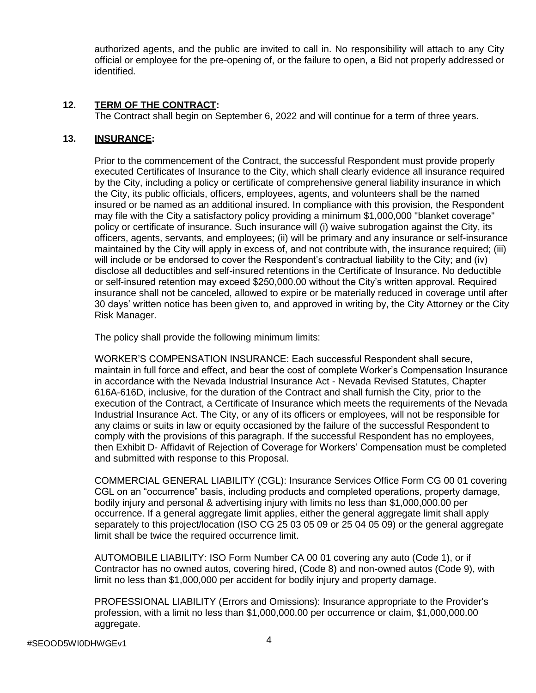authorized agents, and the public are invited to call in. No responsibility will attach to any City official or employee for the pre-opening of, or the failure to open, a Bid not properly addressed or identified.

# **12. TERM OF THE CONTRACT:**

The Contract shall begin on September 6, 2022 and will continue for a term of three years.

### **13. INSURANCE:**

Prior to the commencement of the Contract, the successful Respondent must provide properly executed Certificates of Insurance to the City, which shall clearly evidence all insurance required by the City, including a policy or certificate of comprehensive general liability insurance in which the City, its public officials, officers, employees, agents, and volunteers shall be the named insured or be named as an additional insured. In compliance with this provision, the Respondent may file with the City a satisfactory policy providing a minimum \$1,000,000 "blanket coverage" policy or certificate of insurance. Such insurance will (i) waive subrogation against the City, its officers, agents, servants, and employees; (ii) will be primary and any insurance or self-insurance maintained by the City will apply in excess of, and not contribute with, the insurance required; (iii) will include or be endorsed to cover the Respondent's contractual liability to the City; and (iv) disclose all deductibles and self-insured retentions in the Certificate of Insurance. No deductible or self-insured retention may exceed \$250,000.00 without the City's written approval. Required insurance shall not be canceled, allowed to expire or be materially reduced in coverage until after 30 days' written notice has been given to, and approved in writing by, the City Attorney or the City Risk Manager.

The policy shall provide the following minimum limits:

WORKER'S COMPENSATION INSURANCE: Each successful Respondent shall secure, maintain in full force and effect, and bear the cost of complete Worker's Compensation Insurance in accordance with the Nevada Industrial Insurance Act - Nevada Revised Statutes, Chapter 616A-616D, inclusive, for the duration of the Contract and shall furnish the City, prior to the execution of the Contract, a Certificate of Insurance which meets the requirements of the Nevada Industrial Insurance Act. The City, or any of its officers or employees, will not be responsible for any claims or suits in law or equity occasioned by the failure of the successful Respondent to comply with the provisions of this paragraph. If the successful Respondent has no employees, then Exhibit D- Affidavit of Rejection of Coverage for Workers' Compensation must be completed and submitted with response to this Proposal.

COMMERCIAL GENERAL LIABILITY (CGL): Insurance Services Office Form CG 00 01 covering CGL on an "occurrence" basis, including products and completed operations, property damage, bodily injury and personal & advertising injury with limits no less than \$1,000,000.00 per occurrence. If a general aggregate limit applies, either the general aggregate limit shall apply separately to this project/location (ISO CG 25 03 05 09 or 25 04 05 09) or the general aggregate limit shall be twice the required occurrence limit.

AUTOMOBILE LIABILITY: ISO Form Number CA 00 01 covering any auto (Code 1), or if Contractor has no owned autos, covering hired, (Code 8) and non-owned autos (Code 9), with limit no less than \$1,000,000 per accident for bodily injury and property damage.

PROFESSIONAL LIABILITY (Errors and Omissions): Insurance appropriate to the Provider's profession, with a limit no less than \$1,000,000.00 per occurrence or claim, \$1,000,000.00 aggregate.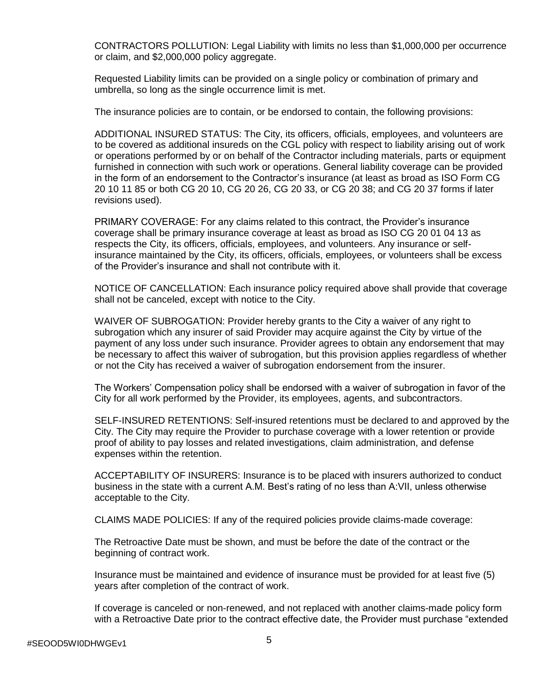CONTRACTORS POLLUTION: Legal Liability with limits no less than \$1,000,000 per occurrence or claim, and \$2,000,000 policy aggregate.

Requested Liability limits can be provided on a single policy or combination of primary and umbrella, so long as the single occurrence limit is met.

The insurance policies are to contain, or be endorsed to contain, the following provisions:

ADDITIONAL INSURED STATUS: The City, its officers, officials, employees, and volunteers are to be covered as additional insureds on the CGL policy with respect to liability arising out of work or operations performed by or on behalf of the Contractor including materials, parts or equipment furnished in connection with such work or operations. General liability coverage can be provided in the form of an endorsement to the Contractor's insurance (at least as broad as ISO Form CG 20 10 11 85 or both CG 20 10, CG 20 26, CG 20 33, or CG 20 38; and CG 20 37 forms if later revisions used).

PRIMARY COVERAGE: For any claims related to this contract, the Provider's insurance coverage shall be primary insurance coverage at least as broad as ISO CG 20 01 04 13 as respects the City, its officers, officials, employees, and volunteers. Any insurance or selfinsurance maintained by the City, its officers, officials, employees, or volunteers shall be excess of the Provider's insurance and shall not contribute with it.

NOTICE OF CANCELLATION: Each insurance policy required above shall provide that coverage shall not be canceled, except with notice to the City.

WAIVER OF SUBROGATION: Provider hereby grants to the City a waiver of any right to subrogation which any insurer of said Provider may acquire against the City by virtue of the payment of any loss under such insurance. Provider agrees to obtain any endorsement that may be necessary to affect this waiver of subrogation, but this provision applies regardless of whether or not the City has received a waiver of subrogation endorsement from the insurer.

The Workers' Compensation policy shall be endorsed with a waiver of subrogation in favor of the City for all work performed by the Provider, its employees, agents, and subcontractors.

SELF-INSURED RETENTIONS: Self-insured retentions must be declared to and approved by the City. The City may require the Provider to purchase coverage with a lower retention or provide proof of ability to pay losses and related investigations, claim administration, and defense expenses within the retention.

ACCEPTABILITY OF INSURERS: Insurance is to be placed with insurers authorized to conduct business in the state with a current A.M. Best's rating of no less than A:VII, unless otherwise acceptable to the City.

CLAIMS MADE POLICIES: If any of the required policies provide claims-made coverage:

The Retroactive Date must be shown, and must be before the date of the contract or the beginning of contract work.

Insurance must be maintained and evidence of insurance must be provided for at least five (5) years after completion of the contract of work.

If coverage is canceled or non-renewed, and not replaced with another claims-made policy form with a Retroactive Date prior to the contract effective date, the Provider must purchase "extended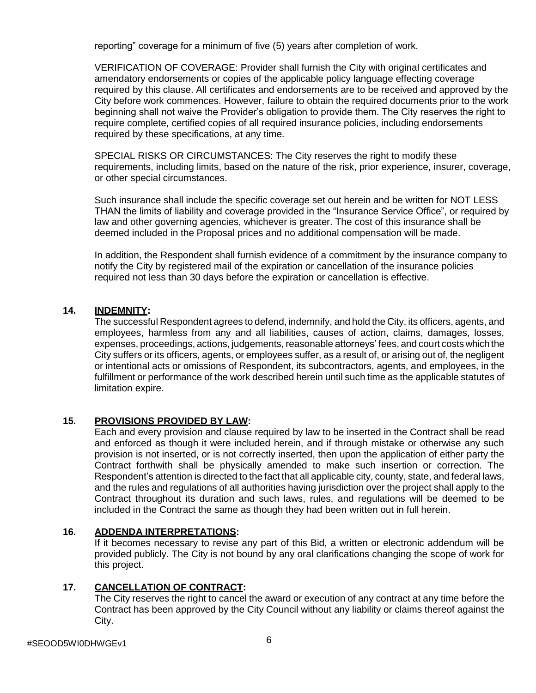reporting" coverage for a minimum of five (5) years after completion of work.

VERIFICATION OF COVERAGE: Provider shall furnish the City with original certificates and amendatory endorsements or copies of the applicable policy language effecting coverage required by this clause. All certificates and endorsements are to be received and approved by the City before work commences. However, failure to obtain the required documents prior to the work beginning shall not waive the Provider's obligation to provide them. The City reserves the right to require complete, certified copies of all required insurance policies, including endorsements required by these specifications, at any time.

SPECIAL RISKS OR CIRCUMSTANCES: The City reserves the right to modify these requirements, including limits, based on the nature of the risk, prior experience, insurer, coverage, or other special circumstances.

Such insurance shall include the specific coverage set out herein and be written for NOT LESS THAN the limits of liability and coverage provided in the "Insurance Service Office", or required by law and other governing agencies, whichever is greater. The cost of this insurance shall be deemed included in the Proposal prices and no additional compensation will be made.

In addition, the Respondent shall furnish evidence of a commitment by the insurance company to notify the City by registered mail of the expiration or cancellation of the insurance policies required not less than 30 days before the expiration or cancellation is effective.

# **14. INDEMNITY:**

The successful Respondent agrees to defend, indemnify, and hold the City, its officers, agents, and employees, harmless from any and all liabilities, causes of action, claims, damages, losses, expenses, proceedings, actions, judgements, reasonable attorneys' fees, and court costs which the City suffers or its officers, agents, or employees suffer, as a result of, or arising out of, the negligent or intentional acts or omissions of Respondent, its subcontractors, agents, and employees, in the fulfillment or performance of the work described herein until such time as the applicable statutes of limitation expire.

# **15. PROVISIONS PROVIDED BY LAW:**

Each and every provision and clause required by law to be inserted in the Contract shall be read and enforced as though it were included herein, and if through mistake or otherwise any such provision is not inserted, or is not correctly inserted, then upon the application of either party the Contract forthwith shall be physically amended to make such insertion or correction. The Respondent's attention is directed to the fact that all applicable city, county, state, and federal laws, and the rules and regulations of all authorities having jurisdiction over the project shall apply to the Contract throughout its duration and such laws, rules, and regulations will be deemed to be included in the Contract the same as though they had been written out in full herein.

# **16. ADDENDA INTERPRETATIONS:**

If it becomes necessary to revise any part of this Bid, a written or electronic addendum will be provided publicly. The City is not bound by any oral clarifications changing the scope of work for this project.

# **17. CANCELLATION OF CONTRACT:**

The City reserves the right to cancel the award or execution of any contract at any time before the Contract has been approved by the City Council without any liability or claims thereof against the City.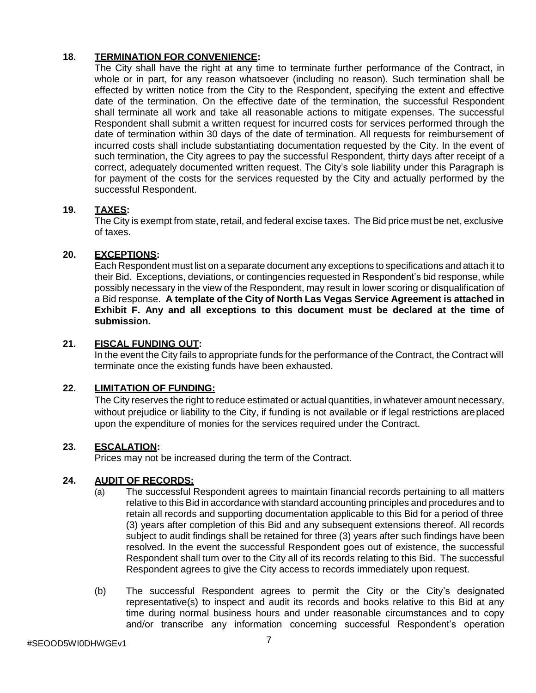# **18. TERMINATION FOR CONVENIENCE:**

The City shall have the right at any time to terminate further performance of the Contract, in whole or in part, for any reason whatsoever (including no reason). Such termination shall be effected by written notice from the City to the Respondent, specifying the extent and effective date of the termination. On the effective date of the termination, the successful Respondent shall terminate all work and take all reasonable actions to mitigate expenses. The successful Respondent shall submit a written request for incurred costs for services performed through the date of termination within 30 days of the date of termination. All requests for reimbursement of incurred costs shall include substantiating documentation requested by the City. In the event of such termination, the City agrees to pay the successful Respondent, thirty days after receipt of a correct, adequately documented written request. The City's sole liability under this Paragraph is for payment of the costs for the services requested by the City and actually performed by the successful Respondent.

# **19. TAXES:**

The City is exempt from state, retail, and federal excise taxes. The Bid price must be net, exclusive of taxes.

# **20. EXCEPTIONS:**

Each Respondent must list on a separate document any exceptions to specifications and attach it to their Bid. Exceptions, deviations, or contingencies requested in Respondent's bid response, while possibly necessary in the view of the Respondent, may result in lower scoring or disqualification of a Bid response. **A template of the City of North Las Vegas Service Agreement is attached in Exhibit F. Any and all exceptions to this document must be declared at the time of submission.**

### **21. FISCAL FUNDING OUT:**

In the event the City fails to appropriate funds for the performance of the Contract, the Contract will terminate once the existing funds have been exhausted.

# **22. LIMITATION OF FUNDING:**

The City reserves the right to reduce estimated or actual quantities, in whatever amount necessary, without prejudice or liability to the City, if funding is not available or if legal restrictions areplaced upon the expenditure of monies for the services required under the Contract.

### **23. ESCALATION:**

Prices may not be increased during the term of the Contract.

### **24. AUDIT OF RECORDS:**

- (a) The successful Respondent agrees to maintain financial records pertaining to all matters relative to this Bid in accordance with standard accounting principles and procedures and to retain all records and supporting documentation applicable to this Bid for a period of three (3) years after completion of this Bid and any subsequent extensions thereof. All records subject to audit findings shall be retained for three (3) years after such findings have been resolved. In the event the successful Respondent goes out of existence, the successful Respondent shall turn over to the City all of its records relating to this Bid. The successful Respondent agrees to give the City access to records immediately upon request.
- (b) The successful Respondent agrees to permit the City or the City's designated representative(s) to inspect and audit its records and books relative to this Bid at any time during normal business hours and under reasonable circumstances and to copy and/or transcribe any information concerning successful Respondent's operation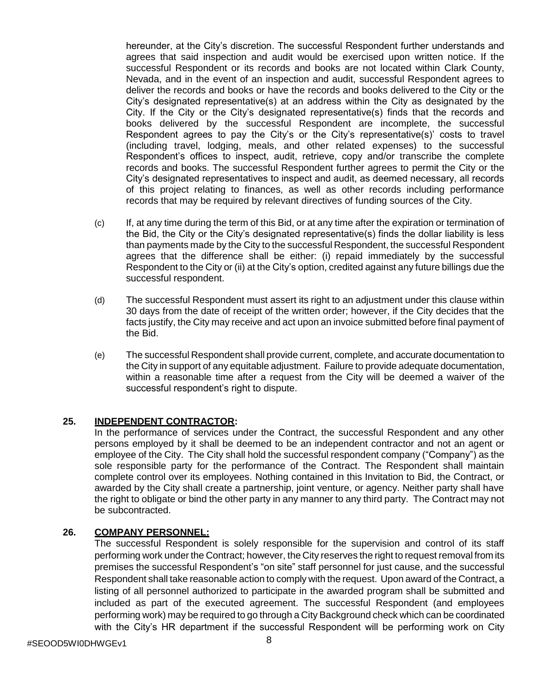hereunder, at the City's discretion. The successful Respondent further understands and agrees that said inspection and audit would be exercised upon written notice. If the successful Respondent or its records and books are not located within Clark County, Nevada, and in the event of an inspection and audit, successful Respondent agrees to deliver the records and books or have the records and books delivered to the City or the City's designated representative(s) at an address within the City as designated by the City. If the City or the City's designated representative(s) finds that the records and books delivered by the successful Respondent are incomplete, the successful Respondent agrees to pay the City's or the City's representative(s)' costs to travel (including travel, lodging, meals, and other related expenses) to the successful Respondent's offices to inspect, audit, retrieve, copy and/or transcribe the complete records and books. The successful Respondent further agrees to permit the City or the City's designated representatives to inspect and audit, as deemed necessary, all records of this project relating to finances, as well as other records including performance records that may be required by relevant directives of funding sources of the City.

- (c) If, at any time during the term of this Bid, or at any time after the expiration or termination of the Bid, the City or the City's designated representative(s) finds the dollar liability is less than payments made by the City to the successful Respondent, the successful Respondent agrees that the difference shall be either: (i) repaid immediately by the successful Respondent to the City or (ii) at the City's option, credited against any future billings due the successful respondent.
- (d) The successful Respondent must assert its right to an adjustment under this clause within 30 days from the date of receipt of the written order; however, if the City decides that the facts justify, the City may receive and act upon an invoice submitted before final payment of the Bid.
- (e) The successful Respondent shall provide current, complete, and accurate documentation to the City in support of any equitable adjustment. Failure to provide adequate documentation, within a reasonable time after a request from the City will be deemed a waiver of the successful respondent's right to dispute.

### **25. INDEPENDENT CONTRACTOR:**

In the performance of services under the Contract, the successful Respondent and any other persons employed by it shall be deemed to be an independent contractor and not an agent or employee of the City. The City shall hold the successful respondent company ("Company") as the sole responsible party for the performance of the Contract. The Respondent shall maintain complete control over its employees. Nothing contained in this Invitation to Bid, the Contract, or awarded by the City shall create a partnership, joint venture, or agency. Neither party shall have the right to obligate or bind the other party in any manner to any third party. The Contract may not be subcontracted.

#### **26. COMPANY PERSONNEL:**

The successful Respondent is solely responsible for the supervision and control of its staff performing work under the Contract; however, the City reserves the right to request removal from its premises the successful Respondent's "on site" staff personnel for just cause, and the successful Respondent shall take reasonable action to comply with the request. Upon award of the Contract, a listing of all personnel authorized to participate in the awarded program shall be submitted and included as part of the executed agreement. The successful Respondent (and employees performing work) may be required to go through a City Background check which can be coordinated with the City's HR department if the successful Respondent will be performing work on City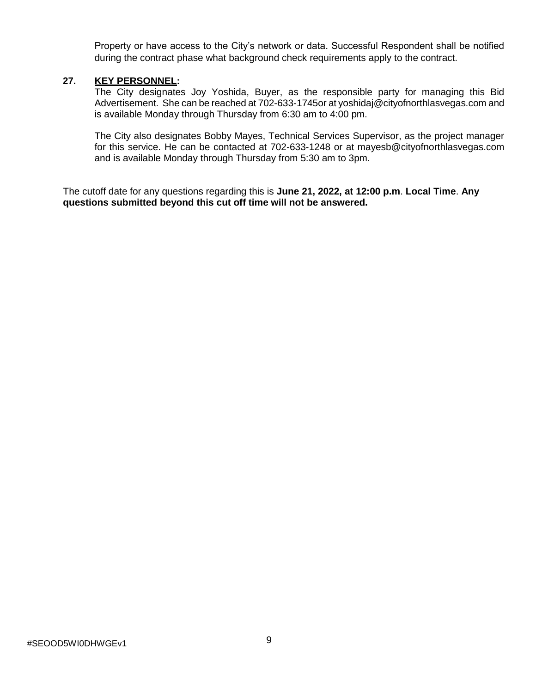Property or have access to the City's network or data. Successful Respondent shall be notified during the contract phase what background check requirements apply to the contract.

#### **27. KEY PERSONNEL:**

The City designates Joy Yoshida, Buyer, as the responsible party for managing this Bid Advertisement. She can be reached at 702-633-1745or at [yoshidaj@cityofnorthlasvegas.com](mailto:yoshidaj@cityofnorthlasvegas.com) and is available Monday through Thursday from 6:30 am to 4:00 pm.

The City also designates Bobby Mayes, Technical Services Supervisor, as the project manager for this service. He can be contacted at 702-633-1248 or at mayesb@cityofnorthlasvegas.com and is available Monday through Thursday from 5:30 am to 3pm.

The cutoff date for any questions regarding this is **June 21, 2022, at 12:00 p.m**. **Local Time**. **Any questions submitted beyond this cut off time will not be answered.**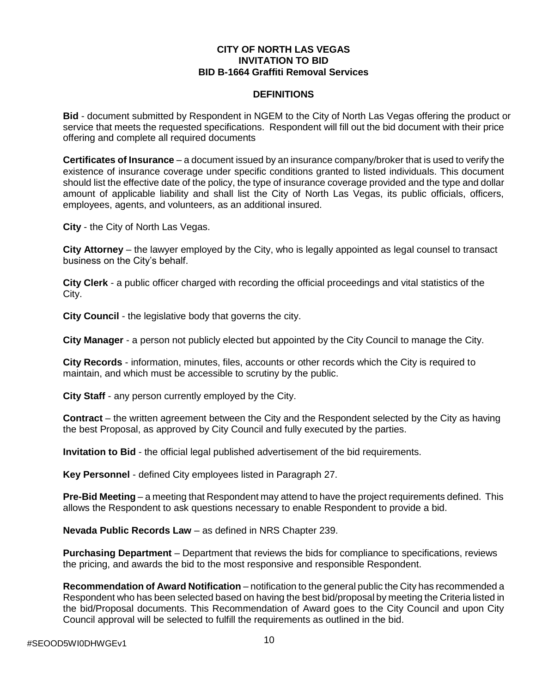#### **CITY OF NORTH LAS VEGAS INVITATION TO BID BID B-1664 Graffiti Removal Services**

#### **DEFINITIONS**

**Bid** - document submitted by Respondent in NGEM to the City of North Las Vegas offering the product or service that meets the requested specifications. Respondent will fill out the bid document with their price offering and complete all required documents

**Certificates of Insurance** – a document issued by an insurance company/broker that is used to verify the existence of insurance coverage under specific conditions granted to listed individuals. This document should list the effective date of the policy, the type of insurance coverage provided and the type and dollar amount of applicable liability and shall list the City of North Las Vegas, its public officials, officers, employees, agents, and volunteers, as an additional insured.

**City** - the City of North Las Vegas.

**City Attorney** – the lawyer employed by the City, who is legally appointed as legal counsel to transact business on the City's behalf.

**City Clerk** - a public officer charged with recording the official proceedings and vital statistics of the City.

**City Council** - the legislative body that governs the city.

**City Manager** - a person not publicly elected but appointed by the City Council to manage the City.

**City Records** - information, minutes, files, accounts or other records which the City is required to maintain, and which must be accessible to scrutiny by the public.

**City Staff** - any person currently employed by the City.

**Contract** – the written agreement between the City and the Respondent selected by the City as having the best Proposal, as approved by City Council and fully executed by the parties.

**Invitation to Bid** - the official legal published advertisement of the bid requirements.

**Key Personnel** - defined City employees listed in Paragraph 27.

**Pre-Bid Meeting** – a meeting that Respondent may attend to have the project requirements defined. This allows the Respondent to ask questions necessary to enable Respondent to provide a bid.

**Nevada Public Records Law** – as defined in NRS Chapter 239.

**Purchasing Department** – Department that reviews the bids for compliance to specifications, reviews the pricing, and awards the bid to the most responsive and responsible Respondent.

**Recommendation of Award Notification** – notification to the general public the City has recommended a Respondent who has been selected based on having the best bid/proposal by meeting the Criteria listed in the bid/Proposal documents. This Recommendation of Award goes to the City Council and upon City Council approval will be selected to fulfill the requirements as outlined in the bid.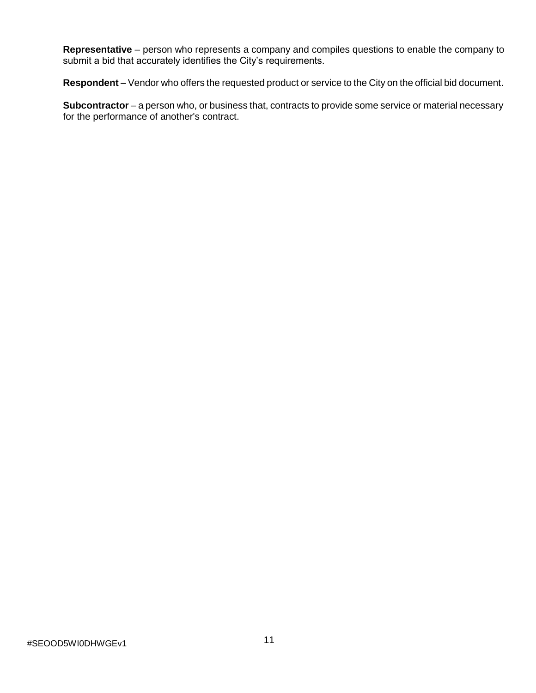**Representative** – person who represents a company and compiles questions to enable the company to submit a bid that accurately identifies the City's requirements.

**Respondent** – Vendor who offers the requested product or service to the City on the official bid document.

**Subcontractor** – a person who, or business that, contracts to provide some service or material necessary for the performance of another's contract.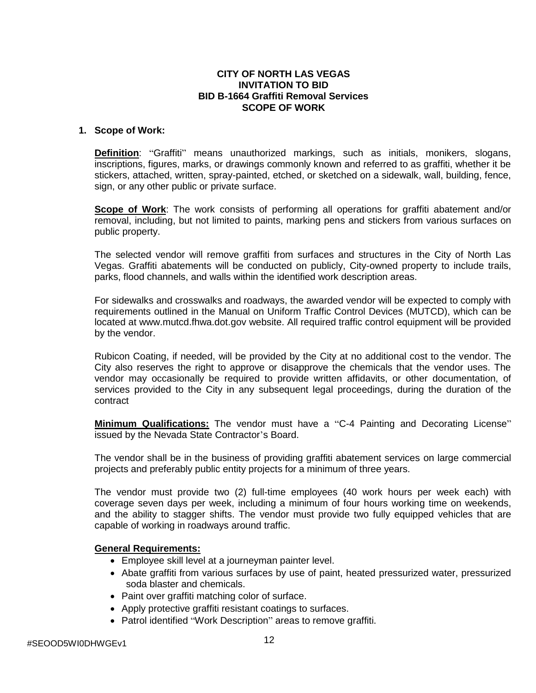#### **CITY OF NORTH LAS VEGAS INVITATION TO BID BID B-1664 Graffiti Removal Services SCOPE OF WORK**

#### **1. Scope of Work:**

**Definition**: "Graffiti" means unauthorized markings, such as initials, monikers, slogans, inscriptions, figures, marks, or drawings commonly known and referred to as graffiti, whether it be stickers, attached, written, spray-painted, etched, or sketched on a sidewalk, wall, building, fence, sign, or any other public or private surface.

**Scope of Work**: The work consists of performing all operations for graffiti abatement and/or removal, including, but not limited to paints, marking pens and stickers from various surfaces on public property.

The selected vendor will remove graffiti from surfaces and structures in the City of North Las Vegas. Graffiti abatements will be conducted on publicly, City-owned property to include trails, parks, flood channels, and walls within the identified work description areas.

For sidewalks and crosswalks and roadways, the awarded vendor will be expected to comply with requirements outlined in the Manual on Uniform Traffic Control Devices (MUTCD), which can be located at [www.mutcd.fhwa.dot.gov](http://www.mutcd.fhwa.dot.gov/) website. All required traffic control equipment will be provided by the vendor.

Rubicon Coating, if needed, will be provided by the City at no additional cost to the vendor. The City also reserves the right to approve or disapprove the chemicals that the vendor uses. The vendor may occasionally be required to provide written affidavits, or other documentation, of services provided to the City in any subsequent legal proceedings, during the duration of the contract

**Minimum Qualifications:** The vendor must have a "C-4 Painting and Decorating License" issued by the Nevada State Contractor's Board.

The vendor shall be in the business of providing graffiti abatement services on large commercial projects and preferably public entity projects for a minimum of three years.

The vendor must provide two (2) full-time employees (40 work hours per week each) with coverage seven days per week, including a minimum of four hours working time on weekends, and the ability to stagger shifts. The vendor must provide two fully equipped vehicles that are capable of working in roadways around traffic.

#### **General Requirements:**

- Employee skill level at a journeyman painter level.
- Abate graffiti from various surfaces by use of paint, heated pressurized water, pressurized soda blaster and chemicals.
- Paint over graffiti matching color of surface.
- Apply protective graffiti resistant coatings to surfaces.
- Patrol identified "Work Description" areas to remove graffiti.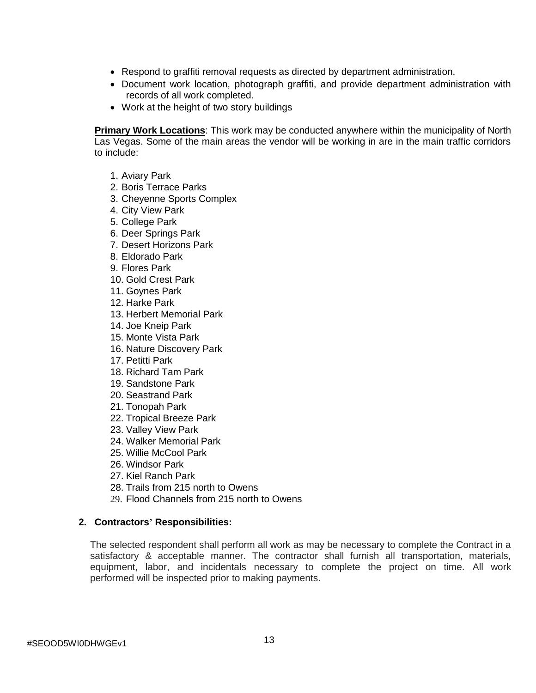- Respond to graffiti removal requests as directed by department administration.
- Document work location, photograph graffiti, and provide department administration with records of all work completed.
- Work at the height of two story buildings

**Primary Work Locations**: This work may be conducted anywhere within the municipality of North Las Vegas. Some of the main areas the vendor will be working in are in the main traffic corridors to include:

- 1. Aviary Park
- 2. Boris Terrace Parks
- 3. Cheyenne Sports Complex
- 4. City View Park
- 5. College Park
- 6. Deer Springs Park
- 7. Desert Horizons Park
- 8. Eldorado Park
- 9. Flores Park
- 10. Gold Crest Park
- 11. Goynes Park
- 12. Harke Park
- 13. Herbert Memorial Park
- 14. Joe Kneip Park
- 15. Monte Vista Park
- 16. Nature Discovery Park
- 17. Petitti Park
- 18. Richard Tam Park
- 19. Sandstone Park
- 20. Seastrand Park
- 21. Tonopah Park
- 22. Tropical Breeze Park
- 23. Valley View Park
- 24. Walker Memorial Park
- 25. Willie McCool Park
- 26. Windsor Park
- 27. Kiel Ranch Park
- 28. Trails from 215 north to Owens
- 29. Flood Channels from 215 north to Owens

### **2. Contractors' Responsibilities:**

The selected respondent shall perform all work as may be necessary to complete the Contract in a satisfactory & acceptable manner. The contractor shall furnish all transportation, materials, equipment, labor, and incidentals necessary to complete the project on time. All work performed will be inspected prior to making payments.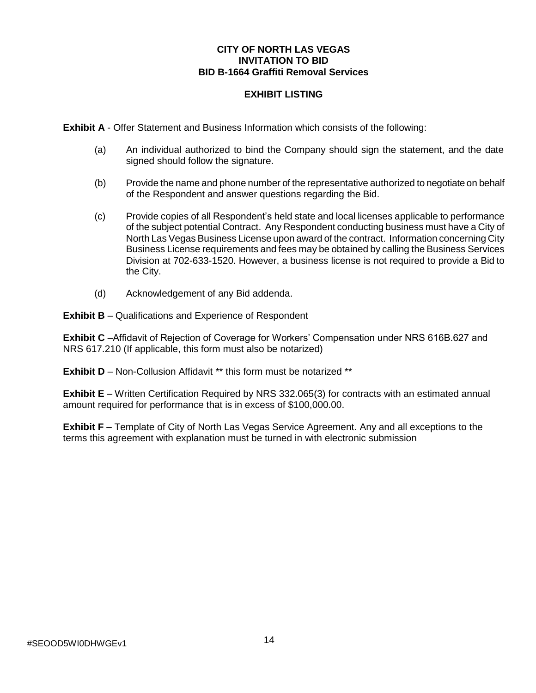#### **CITY OF NORTH LAS VEGAS INVITATION TO BID BID B-1664 Graffiti Removal Services**

# **EXHIBIT LISTING**

**Exhibit A** - Offer Statement and Business Information which consists of the following:

- (a) An individual authorized to bind the Company should sign the statement, and the date signed should follow the signature.
- (b) Provide the name and phone number of the representative authorized to negotiate on behalf of the Respondent and answer questions regarding the Bid.
- (c) Provide copies of all Respondent's held state and local licenses applicable to performance of the subject potential Contract. Any Respondent conducting business must have a City of North Las Vegas Business License upon award of the contract. Information concerning City Business License requirements and fees may be obtained by calling the Business Services Division at 702-633-1520. However, a business license is not required to provide a Bid to the City.
- (d) Acknowledgement of any Bid addenda.

**Exhibit B** – Qualifications and Experience of Respondent

**Exhibit C** –Affidavit of Rejection of Coverage for Workers' Compensation under NRS 616B.627 and NRS 617.210 (If applicable, this form must also be notarized)

**Exhibit D** – Non-Collusion Affidavit \*\* this form must be notarized \*\*

**Exhibit E** – Written Certification Required by NRS 332.065(3) for contracts with an estimated annual amount required for performance that is in excess of \$100,000.00.

**Exhibit F –** Template of City of North Las Vegas Service Agreement. Any and all exceptions to the terms this agreement with explanation must be turned in with electronic submission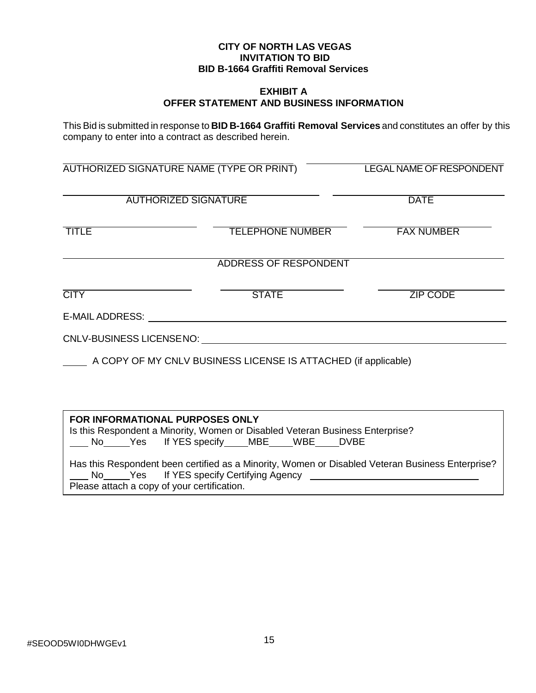#### **CITY OF NORTH LAS VEGAS INVITATION TO BID BID B-1664 Graffiti Removal Services**

#### **EXHIBIT A OFFER STATEMENT AND BUSINESS INFORMATION**

This Bid is submitted in response to **BID B-1664 Graffiti Removal Services** and constitutes an offer by this company to enter into a contract as described herein.

| AUTHORIZED SIGNATURE NAME (TYPE OR PRINT)<br><b>AUTHORIZED SIGNATURE</b> |                                                                                                                     | <b>LEGAL NAME OF RESPONDENT</b><br><b>DATE</b> |  |
|--------------------------------------------------------------------------|---------------------------------------------------------------------------------------------------------------------|------------------------------------------------|--|
|                                                                          |                                                                                                                     |                                                |  |
|                                                                          | ADDRESS OF RESPONDENT                                                                                               |                                                |  |
| <b>CITY</b>                                                              | <b>STATE</b>                                                                                                        | <b>ZIP CODE</b>                                |  |
|                                                                          |                                                                                                                     |                                                |  |
|                                                                          | CNLV-BUSINESS LICENSENO: CNLV-BUSINESS LICENSENO:                                                                   |                                                |  |
|                                                                          | A COPY OF MY CNLV BUSINESS LICENSE IS ATTACHED (if applicable)                                                      |                                                |  |
|                                                                          |                                                                                                                     |                                                |  |
|                                                                          |                                                                                                                     |                                                |  |
| <b>FOR INFORMATIONAL PURPOSES ONLY</b>                                   | Is this Respondent a Minority, Women or Disabled Veteran Business Enterprise?<br>No Yes If YES specify MBE WBE DVBE |                                                |  |

Has this Respondent been certified as a Minority, Women or Disabled Veteran Business Enterprise? No Yes If YES specify Certifying Agency Please attach a copy of your certification.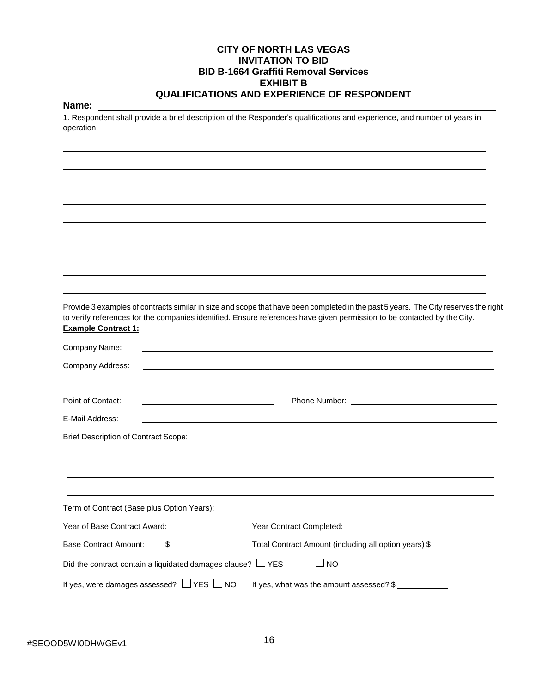#### **CITY OF NORTH LAS VEGAS INVITATION TO BID BID B-1664 Graffiti Removal Services EXHIBIT B QUALIFICATIONS AND EXPERIENCE OF RESPONDENT**

#### **Name:**

1. Respondent shall provide a brief description of the Responder's qualifications and experience, and number of years in operation.

Provide 3 examples of contracts similar in size and scope that have been completed in the past 5 years. The City reserves the right to verify references for the companies identified. Ensure references have given permission to be contacted by the City. **Example Contract 1:** Company Name: Company Address: Point of Contact: Phone Number: Phone Number: E-Mail Address: Brief Description of Contract Scope: \_\_\_\_\_\_\_\_\_\_\_\_\_\_\_ Term of Contract (Base plus Option Years): Year of Base Contract Award: Year Contract Completed: Base Contract Amount: \$ Total Contract Amount (including all option years) \$ Did the contract contain a liquidated damages clause?  $\Box$  YES  $\Box$  NO If yes, were damages assessed?  $\Box$  YES  $\Box$  NO If yes, what was the amount assessed? \$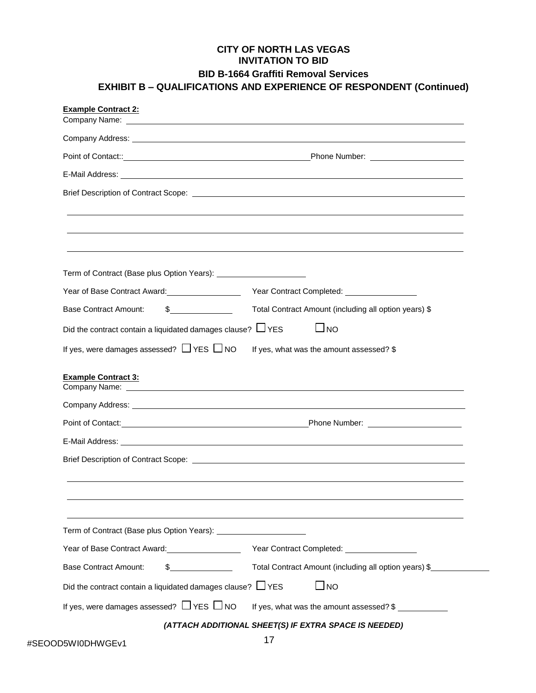# **CITY OF NORTH LAS VEGAS INVITATION TO BID BID B-1664 Graffiti Removal Services EXHIBIT B – QUALIFICATIONS AND EXPERIENCE OF RESPONDENT (Continued)**

| <b>Example Contract 2:</b>                                                                                                                                                                                                     |                                                       |
|--------------------------------------------------------------------------------------------------------------------------------------------------------------------------------------------------------------------------------|-------------------------------------------------------|
|                                                                                                                                                                                                                                |                                                       |
|                                                                                                                                                                                                                                |                                                       |
|                                                                                                                                                                                                                                |                                                       |
|                                                                                                                                                                                                                                |                                                       |
|                                                                                                                                                                                                                                |                                                       |
|                                                                                                                                                                                                                                |                                                       |
|                                                                                                                                                                                                                                |                                                       |
|                                                                                                                                                                                                                                |                                                       |
|                                                                                                                                                                                                                                |                                                       |
|                                                                                                                                                                                                                                |                                                       |
| Year of Base Contract Award: Vear of Base Contract Award:                                                                                                                                                                      |                                                       |
| $\frac{1}{2}$<br><b>Base Contract Amount:</b>                                                                                                                                                                                  | Total Contract Amount (including all option years) \$ |
| Did the contract contain a liquidated damages clause? $\Box$ YES                                                                                                                                                               | $\Box$ No                                             |
| If yes, were damages assessed? $\Box$ YES $\Box$ NO                                                                                                                                                                            | If yes, what was the amount assessed? \$              |
| <b>Example Contract 3:</b>                                                                                                                                                                                                     |                                                       |
| Company Address: National Accounts and Accounts and Accounts and Accounts and Accounts and Accounts and Accounts and Accounts and Accounts and Accounts and Accounts and Accounts and Accounts and Accounts and Accounts and A |                                                       |
|                                                                                                                                                                                                                                |                                                       |
|                                                                                                                                                                                                                                |                                                       |
|                                                                                                                                                                                                                                |                                                       |
|                                                                                                                                                                                                                                |                                                       |
|                                                                                                                                                                                                                                |                                                       |
|                                                                                                                                                                                                                                |                                                       |
| Term of Contract (Base plus Option Years): [1983] [1983] [1983] [1983] [1983] [1983] [1983] [1983] [1983] [198                                                                                                                 |                                                       |
| Year of Base Contract Award: Vear Contract Completed: Vear Contract Completed:                                                                                                                                                 |                                                       |
| $\frac{1}{2}$<br><b>Base Contract Amount:</b>                                                                                                                                                                                  | Total Contract Amount (including all option years) \$ |
| Did the contract contain a liquidated damages clause? $\Box$ YES                                                                                                                                                               | $\Box$ NO                                             |
| If yes, were damages assessed? $\Box$ YES $\Box$ NO                                                                                                                                                                            | If yes, what was the amount assessed? \$              |
|                                                                                                                                                                                                                                | (ATTACH ADDITIONAL SHEET(S) IF EXTRA SPACE IS NEEDED) |

 $\overline{\phantom{a}}$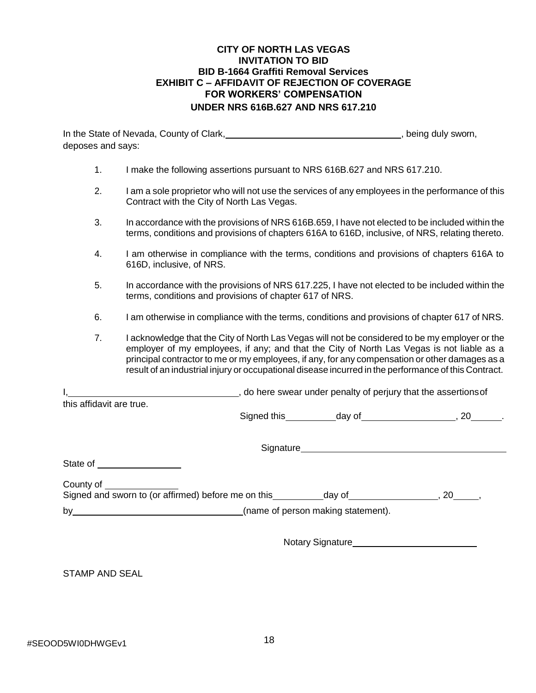#### **CITY OF NORTH LAS VEGAS INVITATION TO BID BID B-1664 Graffiti Removal Services EXHIBIT C – AFFIDAVIT OF REJECTION OF COVERAGE FOR WORKERS' COMPENSATION UNDER NRS 616B.627 AND NRS 617.210**

In the State of Nevada, County of Clark, Martin Martin Martin Martin Martin Bondell, being duly sworn, deposes and says:

| I make the following assertions pursuant to NRS 616B.627 and NRS 617.210. |  |
|---------------------------------------------------------------------------|--|
|                                                                           |  |

- 2. I am a sole proprietor who will not use the services of any employees in the performance of this Contract with the City of North Las Vegas.
- 3. In accordance with the provisions of NRS 616B.659, I have not elected to be included within the terms, conditions and provisions of chapters 616A to 616D, inclusive, of NRS, relating thereto.
- 4. I am otherwise in compliance with the terms, conditions and provisions of chapters 616A to 616D, inclusive, of NRS.
- 5. In accordance with the provisions of NRS 617.225, I have not elected to be included within the terms, conditions and provisions of chapter 617 of NRS.
- 6. I am otherwise in compliance with the terms, conditions and provisions of chapter 617 of NRS.
- 7. I acknowledge that the City of North Las Vegas will not be considered to be my employer or the employer of my employees, if any; and that the City of North Las Vegas is not liable as a principal contractor to me or my employees, if any, for any compensation or other damages as a result of an industrial injury or occupational disease incurred in the performance of this Contract.

I, 1, 2008 and the assertions of the swear under penalty of perjury that the assertions of this affidavit are true.

Signed this day of , 20 .

Signature **Signature** and the state of the state of the state of the state of the state of the state of the state of the state of the state of the state of the state of the state of the state of the state of the state of t

State of

| $\sim$ $\sim$ $\sim$ $\sim$ $\sim$ |                                                     |        |  |
|------------------------------------|-----------------------------------------------------|--------|--|
|                                    | Signed and sworn to (or affirmed) before me on this | dav of |  |

by **EXECUTE:** (name of person making statement).

Notary Signature\_

STAMP AND SEAL

County of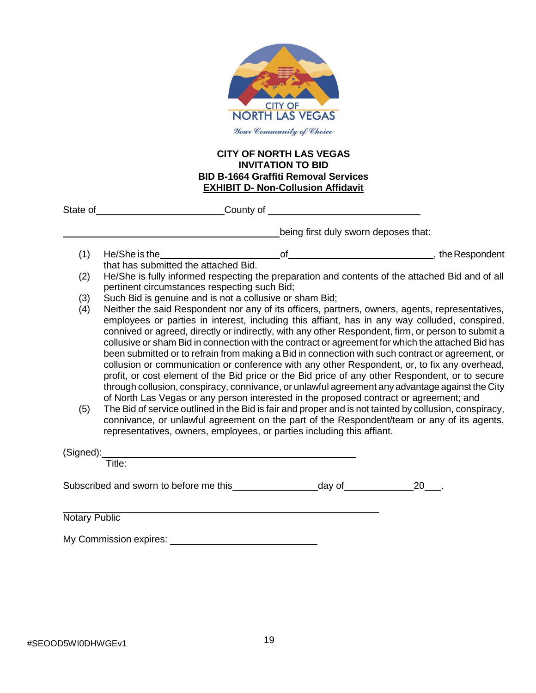

#### **CITY OF NORTH LAS VEGAS INVITATION TO BID BID B-1664 Graffiti Removal Services EXHIBIT D- Non-Collusion Affidavit**

|                      |                                                                                      | State of County of County of County of County of County of County of County of County of County of County of County of County of County of County of County of County of County of County of County of County of County of Cou                                                                                                                                                                                                                                                                                                                                                                                                                                                                                                                                                                                                                                                                                                                                                                                                                                                                                                                                                                    |  |
|----------------------|--------------------------------------------------------------------------------------|---------------------------------------------------------------------------------------------------------------------------------------------------------------------------------------------------------------------------------------------------------------------------------------------------------------------------------------------------------------------------------------------------------------------------------------------------------------------------------------------------------------------------------------------------------------------------------------------------------------------------------------------------------------------------------------------------------------------------------------------------------------------------------------------------------------------------------------------------------------------------------------------------------------------------------------------------------------------------------------------------------------------------------------------------------------------------------------------------------------------------------------------------------------------------------------------------|--|
|                      |                                                                                      | being first duly sworn deposes that:                                                                                                                                                                                                                                                                                                                                                                                                                                                                                                                                                                                                                                                                                                                                                                                                                                                                                                                                                                                                                                                                                                                                                              |  |
| (1)                  |                                                                                      |                                                                                                                                                                                                                                                                                                                                                                                                                                                                                                                                                                                                                                                                                                                                                                                                                                                                                                                                                                                                                                                                                                                                                                                                   |  |
| (2)                  | that has submitted the attached Bid.<br>pertinent circumstances respecting such Bid; | He/She is fully informed respecting the preparation and contents of the attached Bid and of all                                                                                                                                                                                                                                                                                                                                                                                                                                                                                                                                                                                                                                                                                                                                                                                                                                                                                                                                                                                                                                                                                                   |  |
| (3)                  |                                                                                      | Such Bid is genuine and is not a collusive or sham Bid;                                                                                                                                                                                                                                                                                                                                                                                                                                                                                                                                                                                                                                                                                                                                                                                                                                                                                                                                                                                                                                                                                                                                           |  |
| (4)<br>(5)           |                                                                                      | Neither the said Respondent nor any of its officers, partners, owners, agents, representatives,<br>employees or parties in interest, including this affiant, has in any way colluded, conspired,<br>connived or agreed, directly or indirectly, with any other Respondent, firm, or person to submit a<br>collusive or sham Bid in connection with the contract or agreement for which the attached Bid has<br>been submitted or to refrain from making a Bid in connection with such contract or agreement, or<br>collusion or communication or conference with any other Respondent, or, to fix any overhead,<br>profit, or cost element of the Bid price or the Bid price of any other Respondent, or to secure<br>through collusion, conspiracy, connivance, or unlawful agreement any advantage against the City<br>of North Las Vegas or any person interested in the proposed contract or agreement; and<br>The Bid of service outlined in the Bid is fair and proper and is not tainted by collusion, conspiracy,<br>connivance, or unlawful agreement on the part of the Respondent/team or any of its agents,<br>representatives, owners, employees, or parties including this affiant. |  |
|                      | (Signed):                                                                            |                                                                                                                                                                                                                                                                                                                                                                                                                                                                                                                                                                                                                                                                                                                                                                                                                                                                                                                                                                                                                                                                                                                                                                                                   |  |
|                      | Title:                                                                               |                                                                                                                                                                                                                                                                                                                                                                                                                                                                                                                                                                                                                                                                                                                                                                                                                                                                                                                                                                                                                                                                                                                                                                                                   |  |
|                      |                                                                                      |                                                                                                                                                                                                                                                                                                                                                                                                                                                                                                                                                                                                                                                                                                                                                                                                                                                                                                                                                                                                                                                                                                                                                                                                   |  |
| <b>Notary Public</b> |                                                                                      |                                                                                                                                                                                                                                                                                                                                                                                                                                                                                                                                                                                                                                                                                                                                                                                                                                                                                                                                                                                                                                                                                                                                                                                                   |  |
|                      | My Commission expires:                                                               |                                                                                                                                                                                                                                                                                                                                                                                                                                                                                                                                                                                                                                                                                                                                                                                                                                                                                                                                                                                                                                                                                                                                                                                                   |  |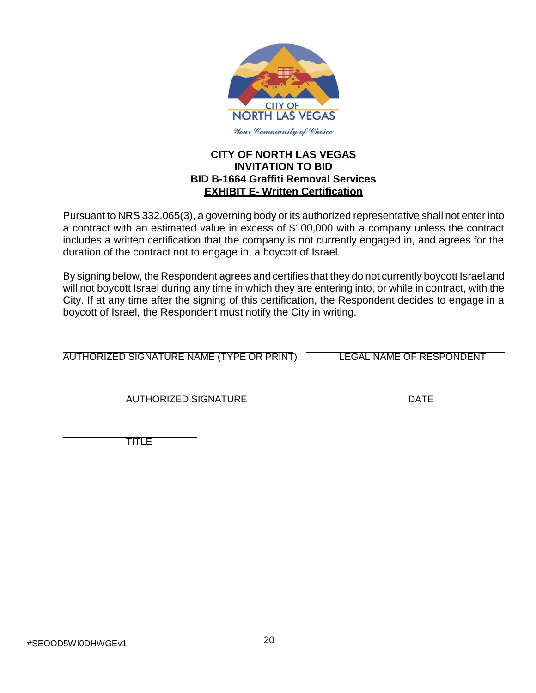

# **CITY OF NORTH LAS VEGAS INVITATION TO BID BID B-1664 Graffiti Removal Services EXHIBIT E- Written Certification**

Pursuant to NRS 332.065(3), a governing body or its authorized representative shall not enter into a contract with an estimated value in excess of \$100,000 with a company unless the contract includes a written certification that the company is not currently engaged in, and agrees for the duration of the contract not to engage in, a boycott of Israel.

By signing below, the Respondent agrees and certifies that they do not currently boycott Israel and will not boycott Israel during any time in which they are entering into, or while in contract, with the City. If at any time after the signing of this certification, the Respondent decides to engage in a boycott of Israel, the Respondent must notify the City in writing.

AUTHORIZED SIGNATURE NAME (TYPE OR PRINT) LEGAL NAME OF RESPONDENT

AUTHORIZED SIGNATURE DATE

TITLE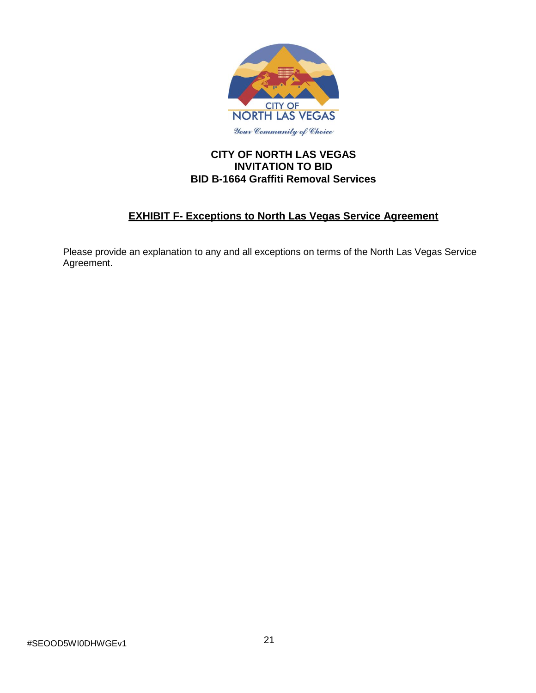

# **CITY OF NORTH LAS VEGAS INVITATION TO BID BID B-1664 Graffiti Removal Services**

# **EXHIBIT F- Exceptions to North Las Vegas Service Agreement**

Please provide an explanation to any and all exceptions on terms of the North Las Vegas Service Agreement.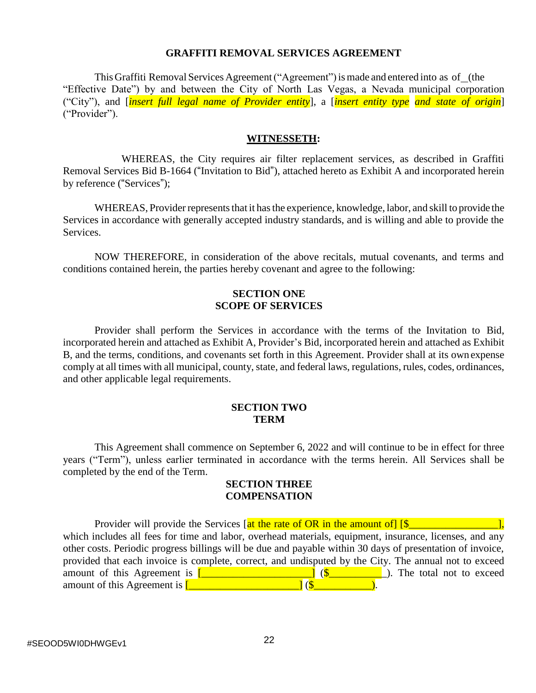#### **GRAFFITI REMOVAL SERVICES AGREEMENT**

This Graffiti Removal Services Agreement ("Agreement") is made and entered into as of (the "Effective Date") by and between the City of North Las Vegas, a Nevada municipal corporation ("City"), and [*insert full legal name of Provider entity*], a [*insert entity type and state of origin*] ("Provider").

#### **WITNESSETH:**

WHEREAS, the City requires air filter replacement services, as described in Graffiti Removal Services Bid B-1664 ("Invitation to Bid"), attached hereto as Exhibit A and incorporated herein by reference ("Services");

WHEREAS, Provider represents that it has the experience, knowledge, labor, and skill to provide the Services in accordance with generally accepted industry standards, and is willing and able to provide the Services.

NOW THEREFORE, in consideration of the above recitals, mutual covenants, and terms and conditions contained herein, the parties hereby covenant and agree to the following:

#### **SECTION ONE SCOPE OF SERVICES**

Provider shall perform the Services in accordance with the terms of the Invitation to Bid, incorporated herein and attached as Exhibit A, Provider's Bid, incorporated herein and attached as Exhibit B, and the terms, conditions, and covenants set forth in this Agreement. Provider shall at its own expense comply at all times with all municipal, county, state, and federal laws, regulations, rules, codes, ordinances, and other applicable legal requirements.

#### **SECTION TWO TERM**

This Agreement shall commence on September 6, 2022 and will continue to be in effect for three years ("Term"), unless earlier terminated in accordance with the terms herein. All Services shall be completed by the end of the Term.

#### **SECTION THREE COMPENSATION**

Provider will provide the Services  $\left[$  at the rate of OR in the amount of  $\left[\frac{S_{\text{max}}}{S_{\text{max}}} \right]$ which includes all fees for time and labor, overhead materials, equipment, insurance, licenses, and any other costs. Periodic progress billings will be due and payable within 30 days of presentation of invoice, provided that each invoice is complete, correct, and undisputed by the City. The annual not to exceed amount of this Agreement is  $\boxed{\begin{array}{ccc} \boxed{2} & \boxed{2} & \boxed{2} \\ \boxed{3} & \boxed{3} \\ \end{array}}$  (\$ amount of this Agreement is  $\begin{bmatrix} 1 & 1 \\ 1 & 1 \end{bmatrix}$  (\$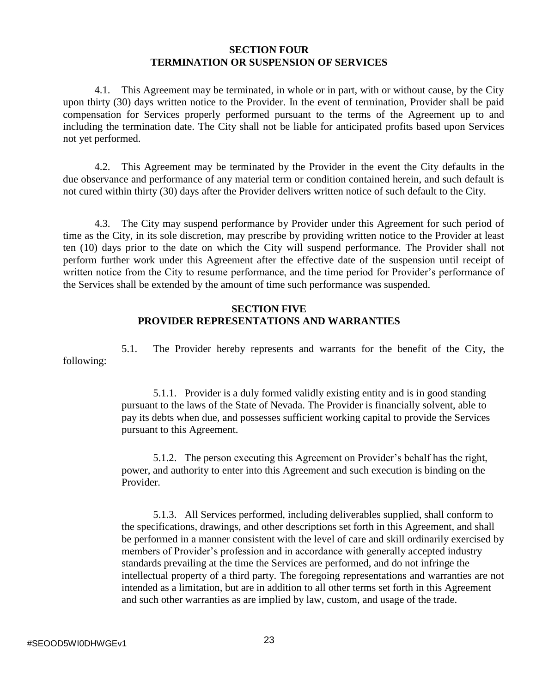#### **SECTION FOUR TERMINATION OR SUSPENSION OF SERVICES**

4.1. This Agreement may be terminated, in whole or in part, with or without cause, by the City upon thirty (30) days written notice to the Provider. In the event of termination, Provider shall be paid compensation for Services properly performed pursuant to the terms of the Agreement up to and including the termination date. The City shall not be liable for anticipated profits based upon Services not yet performed.

4.2. This Agreement may be terminated by the Provider in the event the City defaults in the due observance and performance of any material term or condition contained herein, and such default is not cured within thirty (30) days after the Provider delivers written notice of such default to the City.

4.3. The City may suspend performance by Provider under this Agreement for such period of time as the City, in its sole discretion, may prescribe by providing written notice to the Provider at least ten (10) days prior to the date on which the City will suspend performance. The Provider shall not perform further work under this Agreement after the effective date of the suspension until receipt of written notice from the City to resume performance, and the time period for Provider's performance of the Services shall be extended by the amount of time such performance was suspended.

# **SECTION FIVE PROVIDER REPRESENTATIONS AND WARRANTIES**

5.1. The Provider hereby represents and warrants for the benefit of the City, the following:

> 5.1.1. Provider is a duly formed validly existing entity and is in good standing pursuant to the laws of the State of Nevada. The Provider is financially solvent, able to pay its debts when due, and possesses sufficient working capital to provide the Services pursuant to this Agreement.

> 5.1.2. The person executing this Agreement on Provider's behalf has the right, power, and authority to enter into this Agreement and such execution is binding on the Provider.

5.1.3. All Services performed, including deliverables supplied, shall conform to the specifications, drawings, and other descriptions set forth in this Agreement, and shall be performed in a manner consistent with the level of care and skill ordinarily exercised by members of Provider's profession and in accordance with generally accepted industry standards prevailing at the time the Services are performed, and do not infringe the intellectual property of a third party. The foregoing representations and warranties are not intended as a limitation, but are in addition to all other terms set forth in this Agreement and such other warranties as are implied by law, custom, and usage of the trade.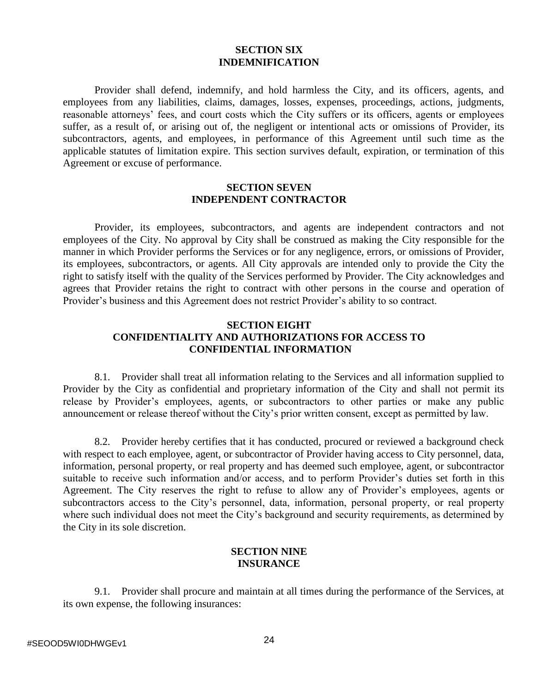#### **SECTION SIX INDEMNIFICATION**

Provider shall defend, indemnify, and hold harmless the City, and its officers, agents, and employees from any liabilities, claims, damages, losses, expenses, proceedings, actions, judgments, reasonable attorneys' fees, and court costs which the City suffers or its officers, agents or employees suffer, as a result of, or arising out of, the negligent or intentional acts or omissions of Provider, its subcontractors, agents, and employees, in performance of this Agreement until such time as the applicable statutes of limitation expire. This section survives default, expiration, or termination of this Agreement or excuse of performance.

#### **SECTION SEVEN INDEPENDENT CONTRACTOR**

Provider, its employees, subcontractors, and agents are independent contractors and not employees of the City. No approval by City shall be construed as making the City responsible for the manner in which Provider performs the Services or for any negligence, errors, or omissions of Provider, its employees, subcontractors, or agents. All City approvals are intended only to provide the City the right to satisfy itself with the quality of the Services performed by Provider. The City acknowledges and agrees that Provider retains the right to contract with other persons in the course and operation of Provider's business and this Agreement does not restrict Provider's ability to so contract.

# **SECTION EIGHT CONFIDENTIALITY AND AUTHORIZATIONS FOR ACCESS TO CONFIDENTIAL INFORMATION**

8.1. Provider shall treat all information relating to the Services and all information supplied to Provider by the City as confidential and proprietary information of the City and shall not permit its release by Provider's employees, agents, or subcontractors to other parties or make any public announcement or release thereof without the City's prior written consent, except as permitted by law.

8.2. Provider hereby certifies that it has conducted, procured or reviewed a background check with respect to each employee, agent, or subcontractor of Provider having access to City personnel, data, information, personal property, or real property and has deemed such employee, agent, or subcontractor suitable to receive such information and/or access, and to perform Provider's duties set forth in this Agreement. The City reserves the right to refuse to allow any of Provider's employees, agents or subcontractors access to the City's personnel, data, information, personal property, or real property where such individual does not meet the City's background and security requirements, as determined by the City in its sole discretion.

#### **SECTION NINE INSURANCE**

9.1. Provider shall procure and maintain at all times during the performance of the Services, at its own expense, the following insurances: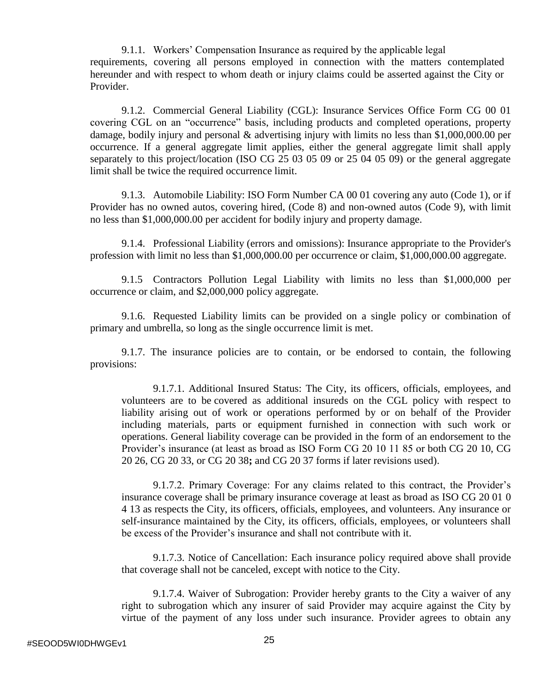9.1.1. Workers' Compensation Insurance as required by the applicable legal requirements, covering all persons employed in connection with the matters contemplated hereunder and with respect to whom death or injury claims could be asserted against the City or Provider.

9.1.2. Commercial General Liability (CGL): Insurance Services Office Form CG 00 01 covering CGL on an "occurrence" basis, including products and completed operations, property damage, bodily injury and personal & advertising injury with limits no less than \$1,000,000.00 per occurrence. If a general aggregate limit applies, either the general aggregate limit shall apply separately to this project/location (ISO CG 25 03 05 09 or 25 04 05 09) or the general aggregate limit shall be twice the required occurrence limit.

9.1.3. Automobile Liability: ISO Form Number CA 00 01 covering any auto (Code 1), or if Provider has no owned autos, covering hired, (Code 8) and non-owned autos (Code 9), with limit no less than \$1,000,000.00 per accident for bodily injury and property damage.

9.1.4. Professional Liability (errors and omissions): Insurance appropriate to the Provider's profession with limit no less than \$1,000,000.00 per occurrence or claim, \$1,000,000.00 aggregate.

9.1.5 Contractors Pollution Legal Liability with limits no less than \$1,000,000 per occurrence or claim, and \$2,000,000 policy aggregate.

9.1.6. Requested Liability limits can be provided on a single policy or combination of primary and umbrella, so long as the single occurrence limit is met.

9.1.7. The insurance policies are to contain, or be endorsed to contain, the following provisions:

9.1.7.1. Additional Insured Status: The City, its officers, officials, employees, and volunteers are to be covered as additional insureds on the CGL policy with respect to liability arising out of work or operations performed by or on behalf of the Provider including materials, parts or equipment furnished in connection with such work or operations. General liability coverage can be provided in the form of an endorsement to the Provider's insurance (at least as broad as ISO Form CG 20 10 11 85 or both CG 20 10, CG 20 26, CG 20 33, or CG 20 38**;** and CG 20 37 forms if later revisions used).

9.1.7.2. Primary Coverage: For any claims related to this contract, the Provider's insurance coverage shall be primary insurance coverage at least as broad as ISO CG 20 01 0 4 13 as respects the City, its officers, officials, employees, and volunteers. Any insurance or self-insurance maintained by the City, its officers, officials, employees, or volunteers shall be excess of the Provider's insurance and shall not contribute with it.

9.1.7.3. Notice of Cancellation: Each insurance policy required above shall provide that coverage shall not be canceled, except with notice to the City.

9.1.7.4. Waiver of Subrogation: Provider hereby grants to the City a waiver of any right to subrogation which any insurer of said Provider may acquire against the City by virtue of the payment of any loss under such insurance. Provider agrees to obtain any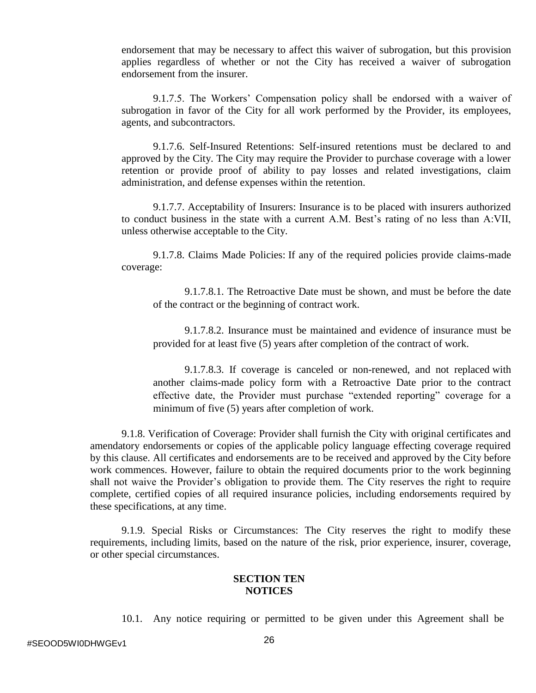endorsement that may be necessary to affect this waiver of subrogation, but this provision applies regardless of whether or not the City has received a waiver of subrogation endorsement from the insurer.

9.1.7.5. The Workers' Compensation policy shall be endorsed with a waiver of subrogation in favor of the City for all work performed by the Provider, its employees, agents, and subcontractors.

9.1.7.6. Self-Insured Retentions: Self-insured retentions must be declared to and approved by the City. The City may require the Provider to purchase coverage with a lower retention or provide proof of ability to pay losses and related investigations, claim administration, and defense expenses within the retention.

9.1.7.7. Acceptability of Insurers: Insurance is to be placed with insurers authorized to conduct business in the state with a current A.M. Best's rating of no less than A:VII, unless otherwise acceptable to the City.

9.1.7.8. Claims Made Policies: If any of the required policies provide claims-made coverage:

9.1.7.8.1. The Retroactive Date must be shown, and must be before the date of the contract or the beginning of contract work.

9.1.7.8.2. Insurance must be maintained and evidence of insurance must be provided for at least five (5) years after completion of the contract of work.

9.1.7.8.3. If coverage is canceled or non-renewed, and not replaced with another claims-made policy form with a Retroactive Date prior to the contract effective date, the Provider must purchase "extended reporting" coverage for a minimum of five (5) years after completion of work.

9.1.8. Verification of Coverage: Provider shall furnish the City with original certificates and amendatory endorsements or copies of the applicable policy language effecting coverage required by this clause. All certificates and endorsements are to be received and approved by the City before work commences. However, failure to obtain the required documents prior to the work beginning shall not waive the Provider's obligation to provide them. The City reserves the right to require complete, certified copies of all required insurance policies, including endorsements required by these specifications, at any time.

9.1.9. Special Risks or Circumstances: The City reserves the right to modify these requirements, including limits, based on the nature of the risk, prior experience, insurer, coverage, or other special circumstances.

# **SECTION TEN NOTICES**

10.1. Any notice requiring or permitted to be given under this Agreement shall be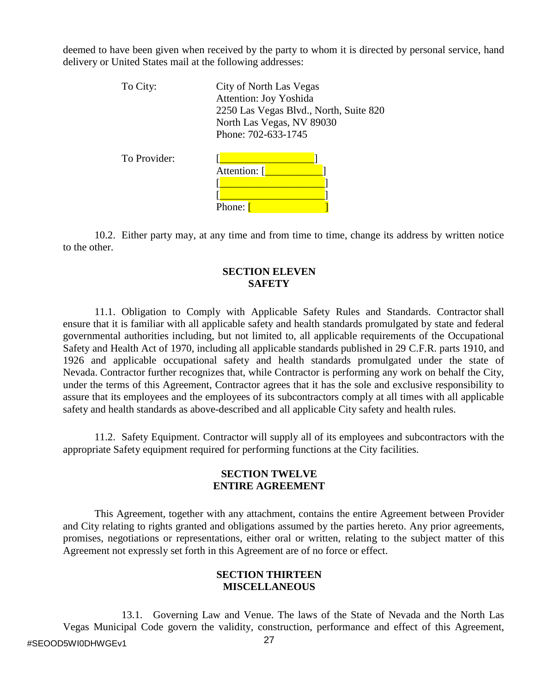deemed to have been given when received by the party to whom it is directed by personal service, hand delivery or United States mail at the following addresses:

| To City:     | City of North Las Vegas<br><b>Attention: Joy Yoshida</b><br>2250 Las Vegas Blvd., North, Suite 820<br>North Las Vegas, NV 89030 |  |
|--------------|---------------------------------------------------------------------------------------------------------------------------------|--|
| To Provider: | Phone: 702-633-1745<br>Attention: [<br>Phone:                                                                                   |  |

10.2. Either party may, at any time and from time to time, change its address by written notice to the other.

# **SECTION ELEVEN SAFETY**

11.1. Obligation to Comply with Applicable Safety Rules and Standards. Contractor shall ensure that it is familiar with all applicable safety and health standards promulgated by state and federal governmental authorities including, but not limited to, all applicable requirements of the Occupational Safety and Health Act of 1970, including all applicable standards published in 29 C.F.R. parts 1910, and 1926 and applicable occupational safety and health standards promulgated under the state of Nevada. Contractor further recognizes that, while Contractor is performing any work on behalf the City, under the terms of this Agreement, Contractor agrees that it has the sole and exclusive responsibility to assure that its employees and the employees of its subcontractors comply at all times with all applicable safety and health standards as above-described and all applicable City safety and health rules.

11.2. Safety Equipment. Contractor will supply all of its employees and subcontractors with the appropriate Safety equipment required for performing functions at the City facilities.

### **SECTION TWELVE ENTIRE AGREEMENT**

This Agreement, together with any attachment, contains the entire Agreement between Provider and City relating to rights granted and obligations assumed by the parties hereto. Any prior agreements, promises, negotiations or representations, either oral or written, relating to the subject matter of this Agreement not expressly set forth in this Agreement are of no force or effect.

# **SECTION THIRTEEN MISCELLANEOUS**

13.1. Governing Law and Venue. The laws of the State of Nevada and the North Las Vegas Municipal Code govern the validity, construction, performance and effect of this Agreement,

27 #SEOOD5WI0DHWGEv1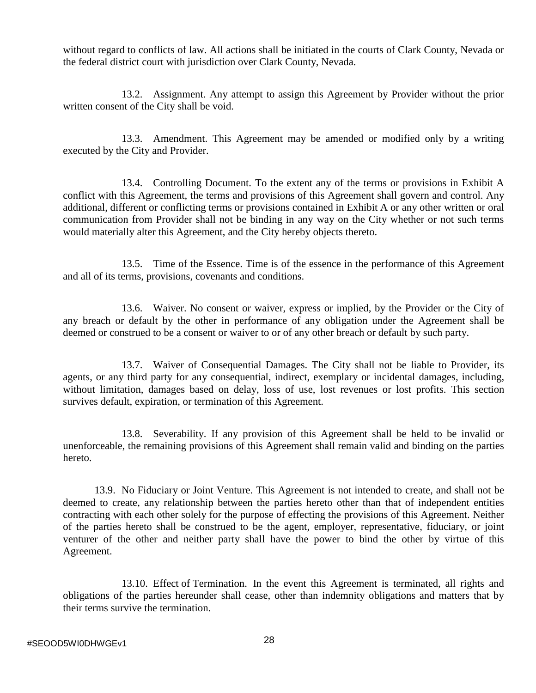without regard to conflicts of law. All actions shall be initiated in the courts of Clark County, Nevada or the federal district court with jurisdiction over Clark County, Nevada.

13.2. Assignment. Any attempt to assign this Agreement by Provider without the prior written consent of the City shall be void.

13.3. Amendment. This Agreement may be amended or modified only by a writing executed by the City and Provider.

13.4. Controlling Document. To the extent any of the terms or provisions in Exhibit A conflict with this Agreement, the terms and provisions of this Agreement shall govern and control. Any additional, different or conflicting terms or provisions contained in Exhibit A or any other written or oral communication from Provider shall not be binding in any way on the City whether or not such terms would materially alter this Agreement, and the City hereby objects thereto.

13.5. Time of the Essence. Time is of the essence in the performance of this Agreement and all of its terms, provisions, covenants and conditions.

13.6. Waiver. No consent or waiver, express or implied, by the Provider or the City of any breach or default by the other in performance of any obligation under the Agreement shall be deemed or construed to be a consent or waiver to or of any other breach or default by such party.

13.7. Waiver of Consequential Damages. The City shall not be liable to Provider, its agents, or any third party for any consequential, indirect, exemplary or incidental damages, including, without limitation, damages based on delay, loss of use, lost revenues or lost profits. This section survives default, expiration, or termination of this Agreement.

13.8. Severability. If any provision of this Agreement shall be held to be invalid or unenforceable, the remaining provisions of this Agreement shall remain valid and binding on the parties hereto.

13.9. No Fiduciary or Joint Venture. This Agreement is not intended to create, and shall not be deemed to create, any relationship between the parties hereto other than that of independent entities contracting with each other solely for the purpose of effecting the provisions of this Agreement. Neither of the parties hereto shall be construed to be the agent, employer, representative, fiduciary, or joint venturer of the other and neither party shall have the power to bind the other by virtue of this Agreement.

13.10. Effect of Termination. In the event this Agreement is terminated, all rights and obligations of the parties hereunder shall cease, other than indemnity obligations and matters that by their terms survive the termination.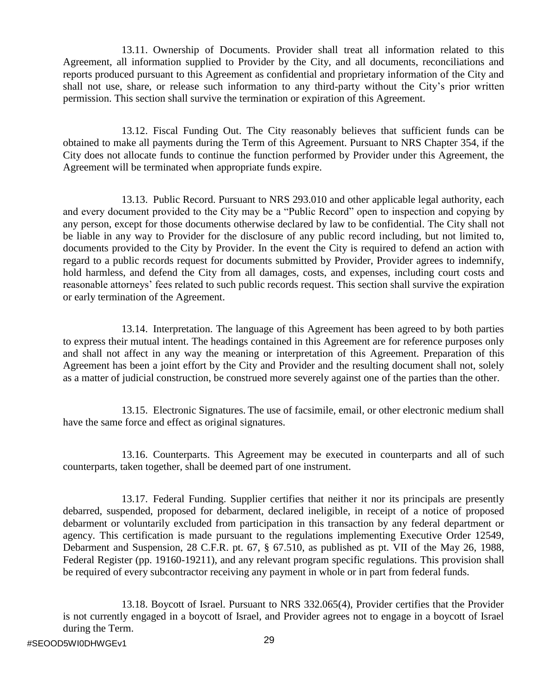13.11. Ownership of Documents. Provider shall treat all information related to this Agreement, all information supplied to Provider by the City, and all documents, reconciliations and reports produced pursuant to this Agreement as confidential and proprietary information of the City and shall not use, share, or release such information to any third-party without the City's prior written permission. This section shall survive the termination or expiration of this Agreement.

13.12. Fiscal Funding Out. The City reasonably believes that sufficient funds can be obtained to make all payments during the Term of this Agreement. Pursuant to NRS Chapter 354, if the City does not allocate funds to continue the function performed by Provider under this Agreement, the Agreement will be terminated when appropriate funds expire.

13.13. Public Record. Pursuant to NRS 293.010 and other applicable legal authority, each and every document provided to the City may be a "Public Record" open to inspection and copying by any person, except for those documents otherwise declared by law to be confidential. The City shall not be liable in any way to Provider for the disclosure of any public record including, but not limited to, documents provided to the City by Provider. In the event the City is required to defend an action with regard to a public records request for documents submitted by Provider, Provider agrees to indemnify, hold harmless, and defend the City from all damages, costs, and expenses, including court costs and reasonable attorneys' fees related to such public records request. This section shall survive the expiration or early termination of the Agreement.

13.14. Interpretation. The language of this Agreement has been agreed to by both parties to express their mutual intent. The headings contained in this Agreement are for reference purposes only and shall not affect in any way the meaning or interpretation of this Agreement. Preparation of this Agreement has been a joint effort by the City and Provider and the resulting document shall not, solely as a matter of judicial construction, be construed more severely against one of the parties than the other.

13.15. Electronic Signatures. The use of facsimile, email, or other electronic medium shall have the same force and effect as original signatures.

13.16. Counterparts. This Agreement may be executed in counterparts and all of such counterparts, taken together, shall be deemed part of one instrument.

13.17. Federal Funding. Supplier certifies that neither it nor its principals are presently debarred, suspended, proposed for debarment, declared ineligible, in receipt of a notice of proposed debarment or voluntarily excluded from participation in this transaction by any federal department or agency. This certification is made pursuant to the regulations implementing Executive Order 12549, Debarment and Suspension, 28 C.F.R. pt. 67, § 67.510, as published as pt. VII of the May 26, 1988, Federal Register (pp. 19160-19211), and any relevant program specific regulations. This provision shall be required of every subcontractor receiving any payment in whole or in part from federal funds.

13.18. Boycott of Israel. Pursuant to NRS 332.065(4), Provider certifies that the Provider is not currently engaged in a boycott of Israel, and Provider agrees not to engage in a boycott of Israel during the Term.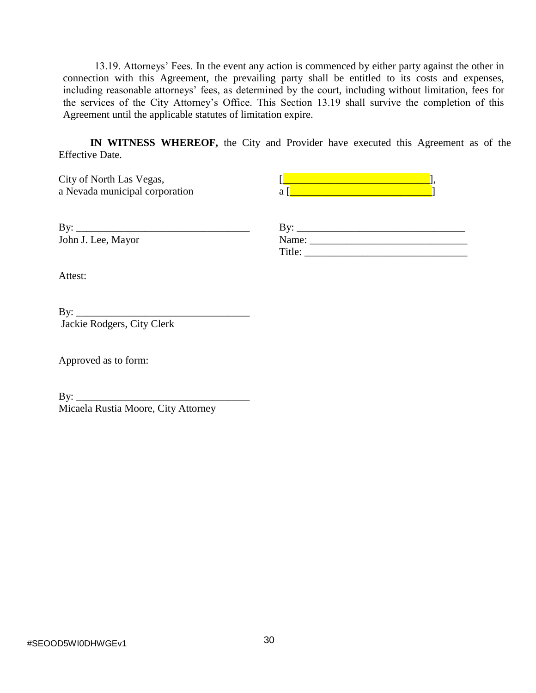13.19. Attorneys' Fees. In the event any action is commenced by either party against the other in connection with this Agreement, the prevailing party shall be entitled to its costs and expenses, including reasonable attorneys' fees, as determined by the court, including without limitation, fees for the services of the City Attorney's Office. This Section 13.19 shall survive the completion of this Agreement until the applicable statutes of limitation expire.

**IN WITNESS WHEREOF,** the City and Provider have executed this Agreement as of the Effective Date.

a Nevada municipal corporation a [University of a and a set of a set of a set of a set of a set of a set of a

City of North Las Vegas,  $\begin{bmatrix} \boxed{\phantom{a}} & \phantom{\dagger} & \phantom{\dagger} & \phantom{\dagger} \\ \phantom{\dagger} & \phantom{\dagger} & \phantom{\dagger} & \phantom{\dagger} & \phantom{\dagger} \\ \phantom{\dagger} & \phantom{\dagger} & \phantom{\dagger} & \phantom{\dagger} & \phantom{\dagger} \\ \phantom{\dagger} & \phantom{\dagger} & \phantom{\dagger} & \phantom{\dagger} & \phantom{\dagger} \\ \phantom{\dagger} & \phantom{\dagger} & \phantom{\dagger} & \phantom{\dagger} & \phantom{\$ 

 $By:$ John J. Lee, Mayor

| By:    |  |  |
|--------|--|--|
| Name:  |  |  |
| Title: |  |  |

Attest:

| By:                        |  |
|----------------------------|--|
| Jackie Rodgers, City Clerk |  |

Approved as to form:

 $By:$ Micaela Rustia Moore, City Attorney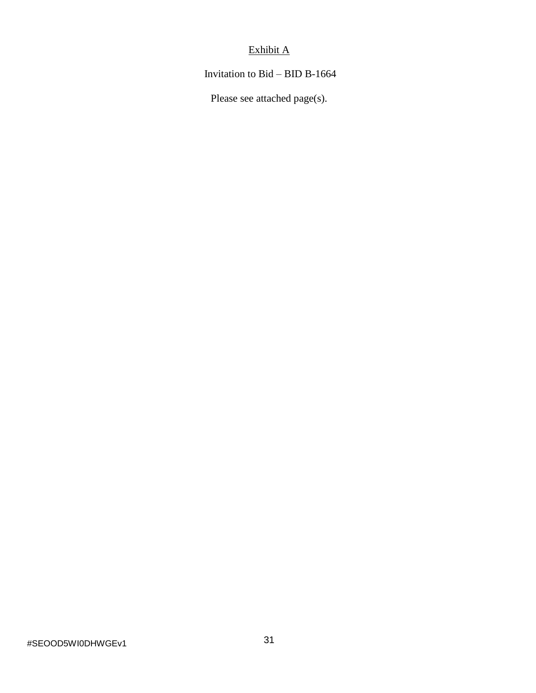# Exhibit A

Invitation to Bid – BID B-1664

Please see attached page(s).